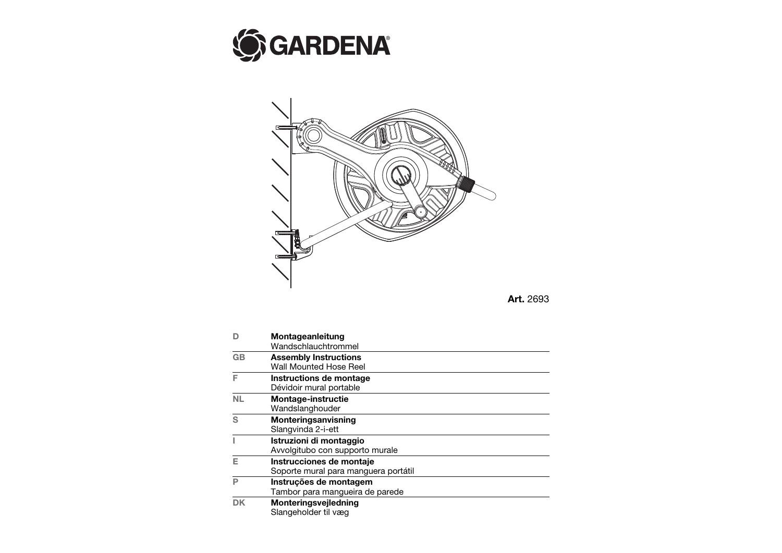|           | Montageanleitung<br>Wandschlauchtrommel                          |
|-----------|------------------------------------------------------------------|
| <b>GB</b> | <b>Assembly Instructions</b><br><b>Wall Mounted Hose Reel</b>    |
| F         | Instructions de montage<br>Dévidoir mural portable               |
| NL        | <b>Montage-instructie</b><br>Wandslanghouder                     |
| S         | Monteringsanvisning<br>Slangvinda 2-i-ett                        |
|           | Istruzioni di montaggio<br>Avvolgitubo con supporto murale       |
|           | Instrucciones de montaje<br>Soporte mural para manguera portátil |
| P         | Instruções de montagem<br>Tambor para mangueira de parede        |
| DK        | Monteringsvejledning<br>Slangeholder til væg                     |





**Art.** 2693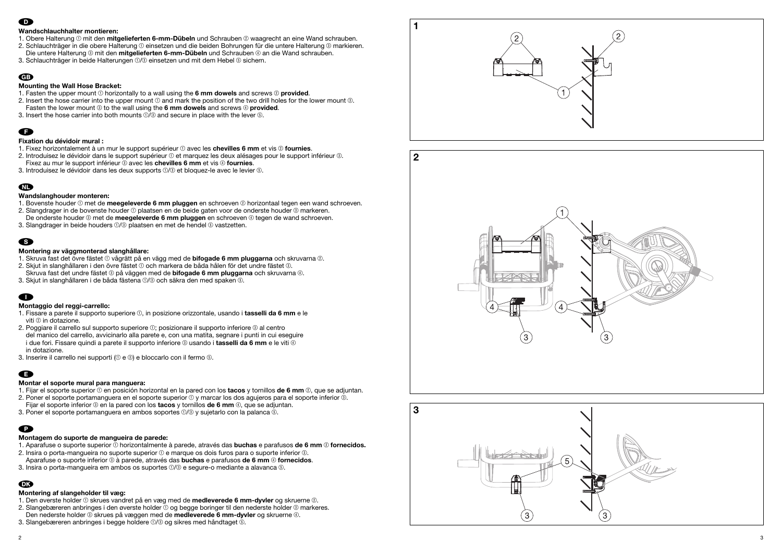

## D

### **Wandschlauchhalter montieren:**

- 1. Obere Halterung **1** mit den **mitgelieferten 6-mm-Dübeln** und Schrauben 2 waagrecht an eine Wand schrauben.
- 2. Schlauchträger in die obere Halterung ① einsetzen und die beiden Bohrungen für die untere Halterung ③ markieren. Die untere Halterung ® mit den **mitgelieferten 6-mm-Dübeln** und Schrauben ® an die Wand schrauben.
- 3. Schlauchträger in beide Halterungen ①/③ einsetzen und mit dem Hebel ⑤ sichern.

## G

#### **Mounting the Wall Hose Bracket:**

- 1. Fasten the upper mount  $\odot$  horizontally to a wall using the 6 mm dowels and screws  $\oslash$  provided.
- 2. Insert the hose carrier into the upper mount  $\odot$  and mark the position of the two drill holes for the lower mount  $\odot$ .
- Fasten the lower mount **©** to the wall using the 6 mm dowels and screws **@** provided.
- 3. Insert the hose carrier into both mounts  $\mathbb{O}/\mathbb{O}$  and secure in place with the lever  $\mathbb{O}$ .

- 1. Bovenste houder  $\odot$  met de **meegeleverde 6 mm pluggen** en schroeven  $\oslash$  horizontaal tegen een wand schroeven.
- 2. Slangdrager in de bovenste houder  $\mathbb O$  plaatsen en de beide gaten voor de onderste houder  $\mathbb O$  markeren.
- De onderste houder ③ met de **meegeleverde 6 mm pluggen** en schroeven ④ tegen de wand schroeven.
- 3. Slangdrager in beide houders 1/3 plaatsen en met de hendel 5 vastzetten.

# F

#### **Fixation du dévidoir mural :**

- 1. Fixez horizontalement à un mur le support supérieur  $\odot$  avec les **chevilles 6 mm** et vis  $\oslash$  fournies.
- 2. Introduisez le dévidoir dans le support supérieur  $\mathbb O$  et marquez les deux alésages pour le support inférieur  $\mathbb O.$
- Fixez au mur le support inférieur <sup>®</sup> avec les chevilles 6 mm et vis 4 fournies.
- 3. Introduisez le dévidoir dans les deux supports  $\mathbb{O}/\mathbb{O}$  et bloquez-le avec le levier  $\mathbb{O}.$

## **TD**

#### **Wandslanghouder monteren:**

# S

#### **Montering av väggmonterad slanghållare:**

- 1. Skruva fast det övre fästet ① vågrätt på en vägg med de **bifogade 6 mm pluggarna** och skruvarna ②.
- 2. Skjut in slanghållaren i den övre fästet  $\mathbb O$  och markera de båda hålen för det undre fästet  $\mathbb O.$
- Skruva fast det undre fästet ③ på väggen med de **bifogade 6 mm pluggarna** och skruvarna ④.
- 3. Skjut in slanghållaren i de båda fästena  $\mathbb{O}/\mathbb{O}$  och säkra den med spaken  $\mathbb{O}.$

## I

#### **Montaggio del reggi-carrello:**

- 1. Fissare a parete il supporto superiore **①**, in posizione orizzontale, usando i tasselli da 6 mm e le viti 2 in dotazione.
- 2. Poggiare il carrello sul supporto superiore ①; posizionare il supporto inferiore ③ al centro del manico del carrello, avvicinarlo alla parete e, con una matita, segnare i punti in cui eseguire i due fori. Fissare quindi a parete il supporto inferiore ③ usando i **tasselli da 6 mm** e le viti ④ in dotazione.
- 3. Inserire il carrello nei supporti ( $\odot$  e  $\odot$ ) e bloccarlo con il fermo  $\odot$ .

## E

#### **Montar el soporte mural para manguera:**

- 1. Fijar el soporte superior  $\circledcirc$  en posición horizontal en la pared con los **tacos** y tornillos **de 6 mm**  $\circledcirc$ , que se adjuntan.
- 2. Poner el soporte portamanguera en el soporte superior  $\mathbb O$  y marcar los dos agujeros para el soporte inferior  $\mathbb O.$
- Fijar el soporte inferior 3 en la pared con los **tacos** y tornillos **de 6 mm** 4, que se adjuntan.
- 3. Poner el soporte portamanguera en ambos soportes  $\mathbb{O}\!/\mathbb{O}$  y sujetarlo con la palanca  $\mathbb{O}.$

## P

#### **Montagem do suporte de mangueira de parede:**

- 1. Aparafuse o suporte superior  $\odot$  horizontalmente à parede, através das **buchas** e parafusos de 6 mm  $\odot$  fornecidos. 2. Insira o porta-mangueira no suporte superior  $\odot$  e marque os dois furos para o suporte inferior  $\odot$ .
- Aparafuse o suporte inferior 3 à parede, através das **buchas** e parafusos **de 6 mm** 4 **fornecidos** .
- 3. Insira o porta-mangueira em ambos os suportes  $\mathbb{O}/\mathbb{O}$  e segure-o mediante a alavanca  $\mathbb{O}.$

# $Q$

### **Montering af slangeholder til væg:**

- 1. Den øverste holder  $\textcircled{0}$  skrues vandret på en væg med de **medleverede 6 mm-dyvler** og skruerne  $\textcircled{2}$ .
- 2. Slangebæreren anbringes i den øverste holder  $\mathbb O$  og begge boringer til den nederste holder  $\mathbb O$  markeres. Den nederste holder ③ skrues på væggen med de **medleverede 6 mm-dyvler** og skruerne ④.
- 3. Slangebæreren anbringes i begge holdere  $\mathbb{O}/\mathbb{O}$  og sikres med håndtaget  $\mathbb{O}.$